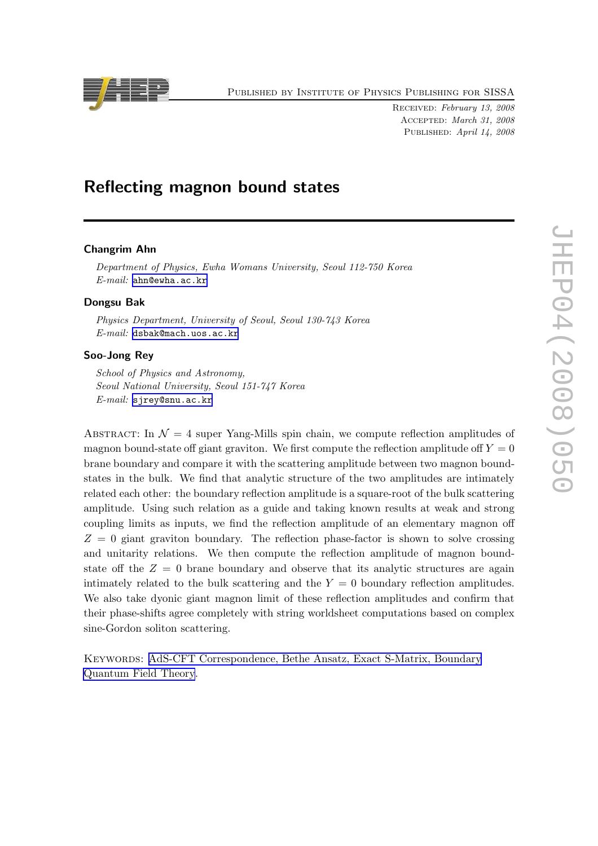Published by Institute of Physics Publishing for SISSA

Received: February 13, 2008 Accepted: March 31, 2008 PUBLISHED: April 14, 2008

# Reflecting magnon bound states

## Changrim Ahn

Department of Physics, Ewha Womans University, Seoul 112-750 Korea E-mail: [ahn@ewha.ac.kr](mailto:ahn@ewha.ac.kr)

# Dongsu Bak

Physics Department, University of Seoul, Seoul 130-743 Korea E-mail: [dsbak@mach.uos.ac.kr](mailto:dsbak@mach.uos.ac.kr)

# Soo-Jong Rey

School of Physics and Astronomy, Seoul National University, Seoul 151-747 Korea E-mail: [sjrey@snu.ac.kr](mailto:sjrey@snu.ac.kr)

ABSTRACT: In  $\mathcal{N} = 4$  super Yang-Mills spin chain, we compute reflection amplitudes of magnon bound-state off giant graviton. We first compute the reflection amplitude off  $Y = 0$ brane boundary and compare it with the scattering amplitude between two magnon boundstates in the bulk. We find that analytic structure of the two amplitudes are intimately related each other: the boundary reflection amplitude is a square-root of the bulk scattering amplitude. Using such relation as a guide and taking known results at weak and strong coupling limits as inputs, we find the reflection amplitude of an elementary magnon off  $Z = 0$  giant graviton boundary. The reflection phase-factor is shown to solve crossing and unitarity relations. We then compute the reflection amplitude of magnon boundstate off the  $Z = 0$  brane boundary and observe that its analytic structures are again intimately related to the bulk scattering and the  $Y = 0$  boundary reflection amplitudes. We also take dyonic giant magnon limit of these reflection amplitudes and confirm that their phase-shifts agree completely with string worldsheet computations based on complex sine-Gordon soliton scattering.

Keywords: [AdS-CFT Correspondence, Bethe Ansatz, Exact S-Matrix, Boundary](http://jhep.sissa.it/stdsearch) [Quantum Field Theory](http://jhep.sissa.it/stdsearch).

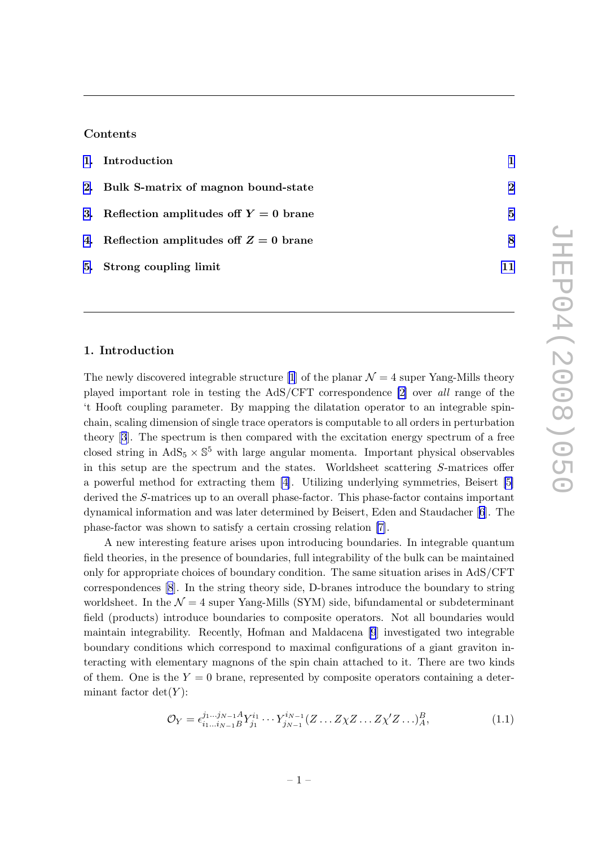#### Contents

| 1. Introduction                            |          |
|--------------------------------------------|----------|
| 2. Bulk S-matrix of magnon bound-state     | $\bf{2}$ |
| 3. Reflection amplitudes off $Y = 0$ brane | 5        |
| 4. Reflection amplitudes off $Z = 0$ brane | 8        |
| 5. Strong coupling limit                   |          |

# 1. Introduction

The newly discovered integrable structure [\[1](#page-12-0)] of the planar  $\mathcal{N} = 4$  super Yang-Mills theory played important role in testing the AdS/CFT correspondence [\[2\]](#page-12-0) over all range of the 't Hooft coupling parameter. By mapping the dilatation operator to an integrable spinchain, scaling dimension of single trace operators is computable to all orders in perturbation theory[[3](#page-12-0)]. The spectrum is then compared with the excitation energy spectrum of a free closed string in  $AdS_5 \times \mathbb{S}^5$  with large angular momenta. Important physical observables in this setup are the spectrum and the states. Worldsheet scattering S-matrices offer a powerful method for extracting them [\[4\]](#page-12-0). Utilizing underlying symmetries, Beisert [\[5\]](#page-12-0) derived the S-matrices up to an overall phase-factor. This phase-factor contains important dynamical information and was later determined by Beisert, Eden and Staudacher [\[6](#page-12-0)]. The phase-factor was shown to satisfy a certain crossing relation [\[7\]](#page-12-0).

A new interesting feature arises upon introducing boundaries. In integrable quantum field theories, in the presence of boundaries, full integrability of the bulk can be maintained only for appropriate choices of boundary condition. The same situation arises in AdS/CFT correspondences [\[8](#page-12-0)]. In the string theory side, D-branes introduce the boundary to string worldsheet. In the  $\mathcal{N} = 4$  super Yang-Mills (SYM) side, bifundamental or subdeterminant field (products) introduce boundaries to composite operators. Not all boundaries would maintain integrability. Recently, Hofman and Maldacena [\[9](#page-13-0)] investigated two integrable boundary conditions which correspond to maximal configurations of a giant graviton interacting with elementary magnons of the spin chain attached to it. There are two kinds of them. One is the  $Y = 0$  brane, represented by composite operators containing a determinant factor  $det(Y)$ :

$$
\mathcal{O}_Y = \epsilon_{i_1 \dots i_{N-1}}^{j_1 \dots j_{N-1}} A Y_{j_1}^{i_1} \dots Y_{j_{N-1}}^{i_{N-1}} (Z \dots Z \chi Z \dots Z \chi' Z \dots)_A^B, \tag{1.1}
$$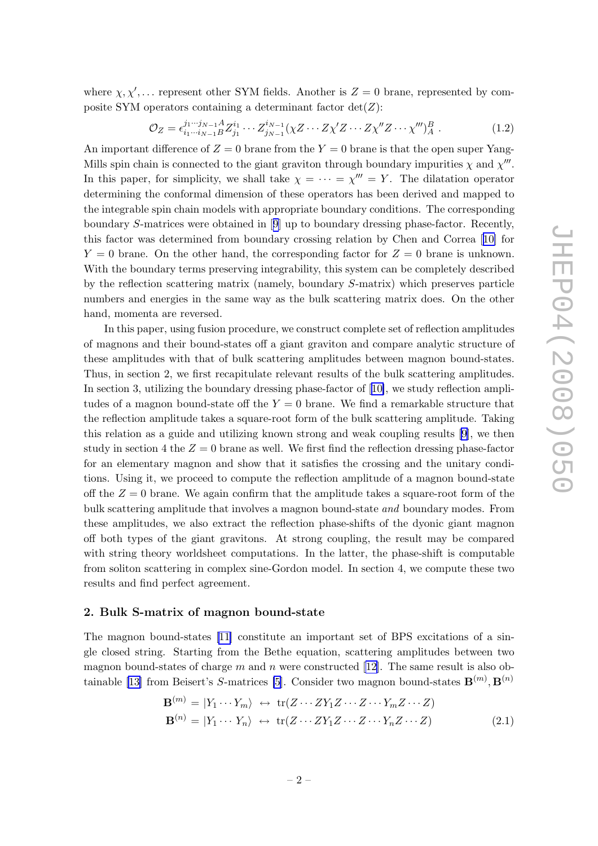<span id="page-2-0"></span>where  $\chi, \chi', \ldots$  represent other SYM fields. Another is  $Z = 0$  brane, represented by composite SYM operators containing a determinant factor  $det(Z)$ :

$$
\mathcal{O}_Z = \epsilon_{i_1 \cdots i_{N-1} B}^{j_1 \cdots j_{N-1} A} Z_{j_1}^{i_1} \cdots Z_{j_{N-1}}^{i_{N-1}} (\chi Z \cdots Z \chi' Z \cdots Z \chi'' Z \cdots \chi''')_A^B . \tag{1.2}
$$

An important difference of  $Z = 0$  brane from the  $Y = 0$  brane is that the open super Yang-Mills spin chain is connected to the giant graviton through boundary impurities  $\chi$  and  $\chi'''$ . In this paper, for simplicity, we shall take  $\chi = \cdots = \chi''' = Y$ . The dilatation operator determining the conformal dimension of these operators has been derived and mapped to the integrable spin chain models with appropriate boundary conditions. The corresponding boundary S-matrices were obtained in[[9](#page-13-0)] up to boundary dressing phase-factor. Recently, this factor was determined from boundary crossing relation by Chen and Correa[[10\]](#page-13-0) for  $Y = 0$  brane. On the other hand, the corresponding factor for  $Z = 0$  brane is unknown. With the boundary terms preserving integrability, this system can be completely described by the reflection scattering matrix (namely, boundary S-matrix) which preserves particle numbers and energies in the same way as the bulk scattering matrix does. On the other hand, momenta are reversed.

In this paper, using fusion procedure, we construct complete set of reflection amplitudes of magnons and their bound-states off a giant graviton and compare analytic structure of these amplitudes with that of bulk scattering amplitudes between magnon bound-states. Thus, in section 2, we first recapitulate relevant results of the bulk scattering amplitudes. In section 3, utilizing the boundary dressing phase-factor of[[10\]](#page-13-0), we study reflection amplitudes of a magnon bound-state off the  $Y = 0$  brane. We find a remarkable structure that the reflection amplitude takes a square-root form of the bulk scattering amplitude. Taking this relation as a guide and utilizing known strong and weak coupling results [\[9\]](#page-13-0), we then study in section 4 the  $Z = 0$  brane as well. We first find the reflection dressing phase-factor for an elementary magnon and show that it satisfies the crossing and the unitary conditions. Using it, we proceed to compute the reflection amplitude of a magnon bound-state off the  $Z = 0$  brane. We again confirm that the amplitude takes a square-root form of the bulk scattering amplitude that involves a magnon bound-state and boundary modes. From these amplitudes, we also extract the reflection phase-shifts of the dyonic giant magnon off both types of the giant gravitons. At strong coupling, the result may be compared with string theory worldsheet computations. In the latter, the phase-shift is computable from soliton scattering in complex sine-Gordon model. In section 4, we compute these two results and find perfect agreement.

#### 2. Bulk S-matrix of magnon bound-state

The magnon bound-states[[11\]](#page-13-0) constitute an important set of BPS excitations of a single closed string. Starting from the Bethe equation, scattering amplitudes between two magnon bound-states of charge m and n were constructed [\[12\]](#page-13-0). The same result is also ob-tainable [\[13\]](#page-13-0) from Beisert's S-matrices [\[5\]](#page-12-0). Consider two magnon bound-states  $\mathbf{B}^{(m)}$ ,  $\mathbf{B}^{(n)}$ 

$$
\mathbf{B}^{(m)} = |Y_1 \cdots Y_m\rangle \leftrightarrow \text{tr}(Z \cdots ZY_1 Z \cdots Z \cdots Y_m Z \cdots Z)
$$
  

$$
\mathbf{B}^{(n)} = |Y_1 \cdots Y_n\rangle \leftrightarrow \text{tr}(Z \cdots ZY_1 Z \cdots Z \cdots Y_n Z \cdots Z)
$$
(2.1)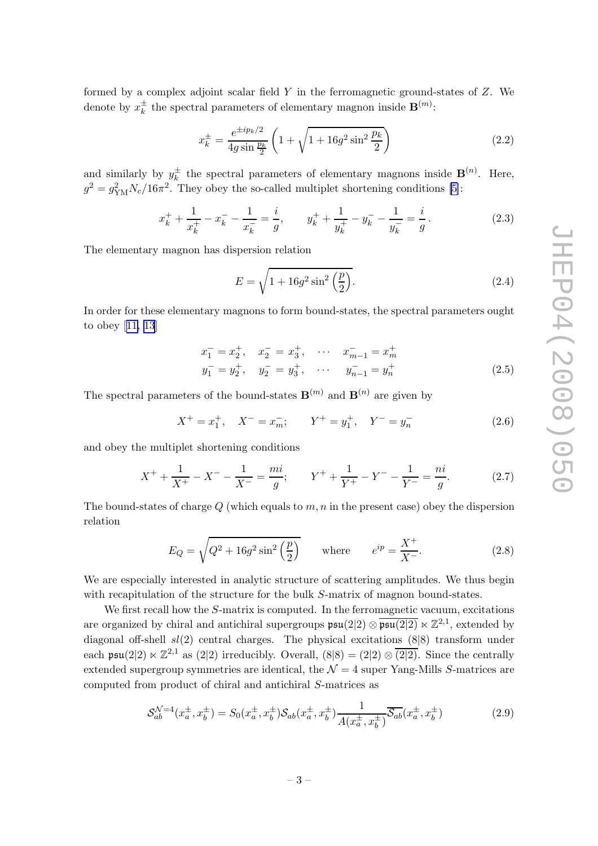<span id="page-3-0"></span>formed by a complex adjoint scalar field  $Y$  in the ferromagnetic ground-states of  $Z$ . We denote by  $x_k^{\pm}$  $\frac{1}{k}$  the spectral parameters of elementary magnon inside  $\mathbf{B}^{(m)}$ :

$$
x_k^{\pm} = \frac{e^{\pm ip_k/2}}{4g\sin\frac{p_k}{2}} \left(1 + \sqrt{1 + 16g^2\sin^2\frac{p_k}{2}}\right)
$$
 (2.2)

and similarly by  $y_k^{\pm}$  $\frac{1}{k}$  the spectral parameters of elementary magnons inside  $\mathbf{B}^{(n)}$ . Here,  $g^2 = g_{\text{YM}}^2 N_c / 16\pi^2$ . They obey the so-called multiplet shortening conditions [\[5\]](#page-12-0):

$$
x_k^+ + \frac{1}{x_k^+} - x_k^- - \frac{1}{x_k^-} = \frac{i}{g}, \qquad y_k^+ + \frac{1}{y_k^+} - y_k^- - \frac{1}{y_k^-} = \frac{i}{g}.
$$
 (2.3)

The elementary magnon has dispersion relation

$$
E = \sqrt{1 + 16g^2 \sin^2\left(\frac{p}{2}\right)}.\tag{2.4}
$$

In order for these elementary magnons to form bound-states, the spectral parameters ought to obey[[11, 13](#page-13-0)]

$$
x_1^- = x_2^+, \quad x_2^- = x_3^+, \quad \cdots \quad x_{m-1}^- = x_m^+ \n y_1^- = y_2^+, \quad y_2^- = y_3^+, \quad \cdots \quad y_{n-1}^- = y_n^+ \tag{2.5}
$$

The spectral parameters of the bound-states  $\mathbf{B}^{(m)}$  and  $\mathbf{B}^{(n)}$  are given by

$$
X^{+} = x_{1}^{+}, \quad X^{-} = x_{m}^{-}; \qquad Y^{+} = y_{1}^{+}, \quad Y^{-} = y_{n}^{-}
$$
\n
$$
(2.6)
$$

and obey the multiplet shortening conditions

$$
X^{+} + \frac{1}{X^{+}} - X^{-} - \frac{1}{X^{-}} = \frac{mi}{g}; \qquad Y^{+} + \frac{1}{Y^{+}} - Y^{-} - \frac{1}{Y^{-}} = \frac{ni}{g}.
$$
 (2.7)

The bound-states of charge  $Q$  (which equals to  $m, n$  in the present case) obey the dispersion relation

$$
E_Q = \sqrt{Q^2 + 16g^2 \sin^2\left(\frac{p}{2}\right)} \quad \text{where} \quad e^{ip} = \frac{X^+}{X^-}.
$$
 (2.8)

We are especially interested in analytic structure of scattering amplitudes. We thus begin with recapitulation of the structure for the bulk S-matrix of magnon bound-states.

We first recall how the S-matrix is computed. In the ferromagnetic vacuum, excitations are organized by chiral and antichiral supergroups  $\mathfrak{psu}(2|2) \otimes \overline{\mathfrak{psu}(2|2)} \ltimes \mathbb{Z}^{2,1}$ , extended by diagonal off-shell  $sl(2)$  central charges. The physical excitations  $(8|8)$  transform under each psu(2|2)  $\ltimes \mathbb{Z}^{2,1}$  as (2|2) irreducibly. Overall,  $(8|8) = (2|2) \otimes \overline{(2|2)}$ . Since the centrally extended supergroup symmetries are identical, the  $\mathcal{N}=4$  super Yang-Mills S-matrices are computed from product of chiral and antichiral S-matrices as

$$
\mathcal{S}_{ab}^{\mathcal{N}=4}(x_a^{\pm}, x_b^{\pm}) = S_0(x_a^{\pm}, x_b^{\pm})\mathcal{S}_{ab}(x_a^{\pm}, x_b^{\pm})\frac{1}{A(x_a^{\pm}, x_b^{\pm})}\overline{\mathcal{S}_{ab}}(x_a^{\pm}, x_b^{\pm})
$$
(2.9)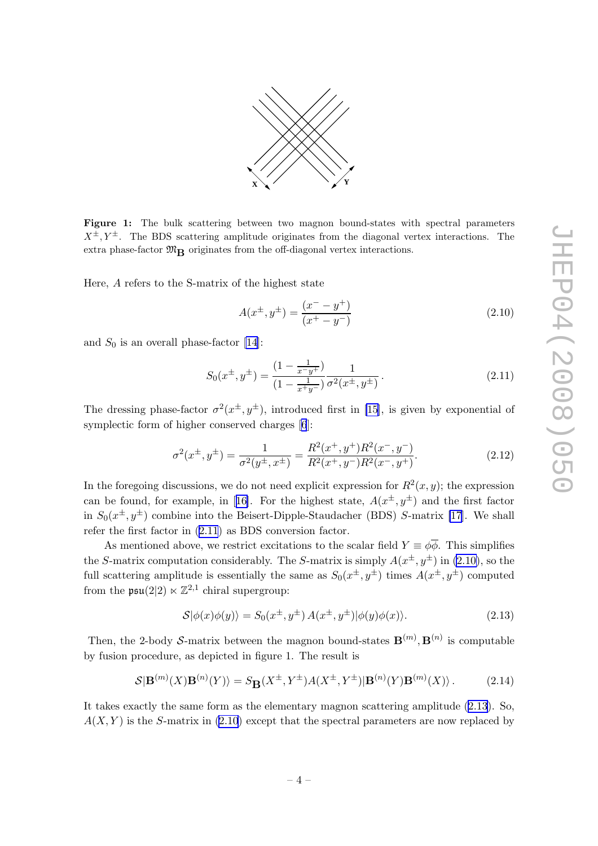

<span id="page-4-0"></span>Figure 1: The bulk scattering between two magnon bound-states with spectral parameters  $X^{\pm}$ ,  $Y^{\pm}$ . The BDS scattering amplitude originates from the diagonal vertex interactions. The extra phase-factor  $\mathfrak{M}_{\mathbf{R}}$  originates from the off-diagonal vertex interactions.

Here, A refers to the S-matrix of the highest state

$$
A(x^{\pm}, y^{\pm}) = \frac{(x^- - y^+)}{(x^+ - y^-)}
$$
\n(2.10)

and  $S_0$  is an overall phase-factor [\[14\]](#page-13-0):

$$
S_0(x^{\pm}, y^{\pm}) = \frac{(1 - \frac{1}{x^{\pm}y^{\pm}})}{(1 - \frac{1}{x^{\pm}y^{\pm}})} \frac{1}{\sigma^2(x^{\pm}, y^{\pm})}.
$$
\n(2.11)

The dressing phase-factor  $\sigma^2(x^{\pm}, y^{\pm})$ , introduced first in [\[15](#page-13-0)], is given by exponential of symplectic form of higher conserved charges [\[6](#page-12-0)]:

$$
\sigma^2(x^{\pm}, y^{\pm}) = \frac{1}{\sigma^2(y^{\pm}, x^{\pm})} = \frac{R^2(x^+, y^+)R^2(x^-, y^-)}{R^2(x^+, y^-)R^2(x^-, y^+)}.
$$
\n(2.12)

In the foregoing discussions, we do not need explicit expression for  $R^2(x, y)$ ; the expression canbe found, for example, in [[16\]](#page-13-0). For the highest state,  $A(x^{\pm}, y^{\pm})$  and the first factor in  $S_0(x^{\pm}, y^{\pm})$  combine into the Beisert-Dipple-Staudacher (BDS) S-matrix [\[17](#page-13-0)]. We shall refer the first factor in (2.11) as BDS conversion factor.

As mentioned above, we restrict excitations to the scalar field  $Y \equiv \phi \overline{\phi}$ . This simplifies the S-matrix computation considerably. The S-matrix is simply  $A(x^{\pm}, y^{\pm})$  in (2.10), so the full scattering amplitude is essentially the same as  $S_0(x^{\pm}, y^{\pm})$  times  $A(x^{\pm}, y^{\pm})$  computed from the  $\mathfrak{psu}(2|2) \ltimes \mathbb{Z}^{2,1}$  chiral supergroup:

$$
\mathcal{S}|\phi(x)\phi(y)\rangle = S_0(x^{\pm}, y^{\pm})A(x^{\pm}, y^{\pm})|\phi(y)\phi(x)\rangle.
$$
 (2.13)

Then, the 2-body S-matrix between the magnon bound-states  $\mathbf{B}^{(m)}$ ,  $\mathbf{B}^{(n)}$  is computable by fusion procedure, as depicted in figure 1. The result is

$$
\mathcal{S}|\mathbf{B}^{(m)}(X)\mathbf{B}^{(n)}(Y)\rangle = S_{\mathbf{B}}(X^{\pm}, Y^{\pm})A(X^{\pm}, Y^{\pm})|\mathbf{B}^{(n)}(Y)\mathbf{B}^{(m)}(X)\rangle. \tag{2.14}
$$

It takes exactly the same form as the elementary magnon scattering amplitude (2.13). So,  $A(X, Y)$  is the S-matrix in (2.10) except that the spectral parameters are now replaced by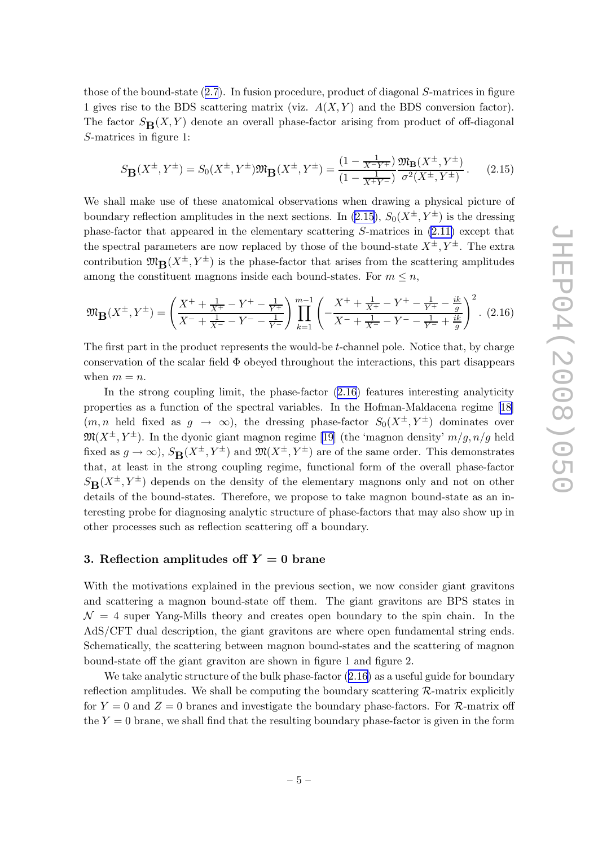<span id="page-5-0"></span>those of the bound-state ([2.7](#page-3-0)). In fusion procedure, product of diagonal S-matrices in figure 1 gives rise to the BDS scattering matrix (viz.  $A(X, Y)$  and the BDS conversion factor). The factor  $S_{\mathbf{B}}(X, Y)$  denote an overall phase-factor arising from product of off-diagonal S-matrices in figure 1:

$$
S_{\mathbf{B}}(X^{\pm}, Y^{\pm}) = S_0(X^{\pm}, Y^{\pm}) \mathfrak{M}_{\mathbf{B}}(X^{\pm}, Y^{\pm}) = \frac{(1 - \frac{1}{X^{\pm} Y^{\pm}})}{(1 - \frac{1}{X^{\pm} Y^{\pm}})} \frac{\mathfrak{M}_{\mathbf{B}}(X^{\pm}, Y^{\pm})}{\sigma^2 (X^{\pm}, Y^{\pm})}.
$$
 (2.15)

We shall make use of these anatomical observations when drawing a physical picture of boundary reflection amplitudes in the next sections. In (2.15),  $S_0(X^{\pm}, Y^{\pm})$  is the dressing phase-factor that appeared in the elementary scattering S-matrices in [\(2.11\)](#page-4-0) except that the spectral parameters are now replaced by those of the bound-state  $X^{\pm}$ ,  $Y^{\pm}$ . The extra contribution  $\mathfrak{M}_{\mathbf{B}}(X^{\pm}, Y^{\pm})$  is the phase-factor that arises from the scattering amplitudes among the constituent magnons inside each bound-states. For  $m \leq n$ ,

$$
\mathfrak{M}_{\mathbf{B}}(X^{\pm}, Y^{\pm}) = \left(\frac{X^{+} + \frac{1}{X^{+}} - Y^{+} - \frac{1}{Y^{+}}}{X^{-} + \frac{1}{X^{-}} - Y^{-} - \frac{1}{Y^{-}}}\right) \prod_{k=1}^{m-1} \left(-\frac{X^{+} + \frac{1}{X^{+}} - Y^{+} - \frac{1}{Y^{+}} - \frac{ik}{g}}{X^{-} + \frac{1}{X^{-}} - Y^{-} - \frac{1}{Y^{-}} + \frac{ik}{g}}\right)^{2}.\tag{2.16}
$$

The first part in the product represents the would-be t-channel pole. Notice that, by charge conservation of the scalar field  $\Phi$  obeyed throughout the interactions, this part disappears when  $m = n$ .

In the strong coupling limit, the phase-factor  $(2.16)$  features interesting analyticity properties as a function of the spectral variables. In the Hofman-Maldacena regime [\[18\]](#page-13-0)  $(m, n \text{ held fixed as } g \rightarrow \infty)$ , the dressing phase-factor  $S_0(X^{\pm}, Y^{\pm})$  dominates over  $\mathfrak{M}(X^{\pm}, Y^{\pm})$ . In the dyonic giant magnon regime [\[19\]](#page-13-0) (the 'magnon density'  $m/g, n/g$  held fixed as  $g \to \infty$ ),  $S_R(X^{\pm}, Y^{\pm})$  and  $\mathfrak{M}(X^{\pm}, Y^{\pm})$  are of the same order. This demonstrates that, at least in the strong coupling regime, functional form of the overall phase-factor  $S_{\mathbf{B}}(X^{\pm}, Y^{\pm})$  depends on the density of the elementary magnons only and not on other details of the bound-states. Therefore, we propose to take magnon bound-state as an interesting probe for diagnosing analytic structure of phase-factors that may also show up in other processes such as reflection scattering off a boundary.

# 3. Reflection amplitudes off  $Y = 0$  brane

With the motivations explained in the previous section, we now consider giant gravitons and scattering a magnon bound-state off them. The giant gravitons are BPS states in  $\mathcal{N} = 4$  super Yang-Mills theory and creates open boundary to the spin chain. In the AdS/CFT dual description, the giant gravitons are where open fundamental string ends. Schematically, the scattering between magnon bound-states and the scattering of magnon bound-state off the giant graviton are shown in figure 1 and figure 2.

We take analytic structure of the bulk phase-factor  $(2.16)$  as a useful guide for boundary reflection amplitudes. We shall be computing the boundary scattering  $\mathcal{R}$ -matrix explicitly for  $Y = 0$  and  $Z = 0$  branes and investigate the boundary phase-factors. For R-matrix off the  $Y = 0$  brane, we shall find that the resulting boundary phase-factor is given in the form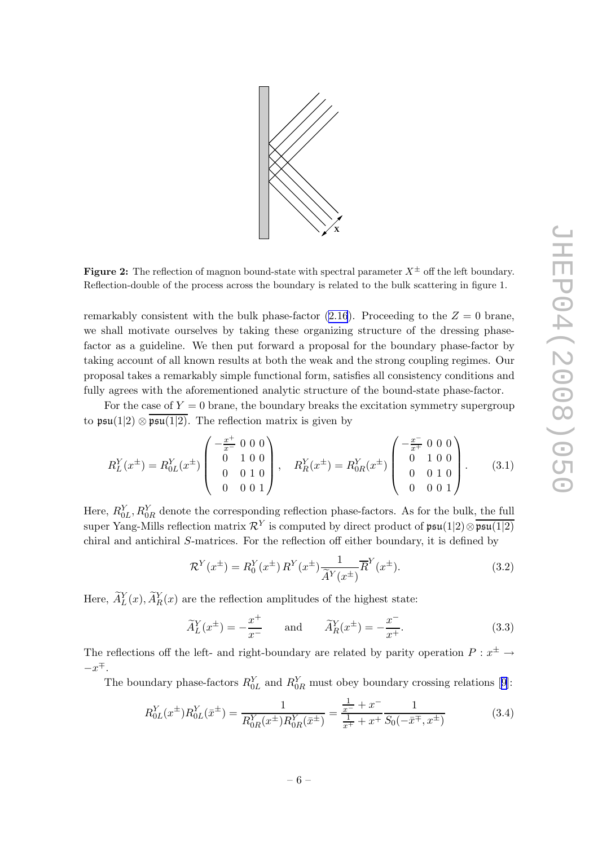<span id="page-6-0"></span>

**Figure 2:** The reflection of magnon bound-state with spectral parameter  $X^{\pm}$  off the left boundary. Reflection-double of the process across the boundary is related to the bulk scattering in figure 1.

remarkably consistent with the bulk phase-factor  $(2.16)$  $(2.16)$ . Proceeding to the  $Z = 0$  brane, we shall motivate ourselves by taking these organizing structure of the dressing phasefactor as a guideline. We then put forward a proposal for the boundary phase-factor by taking account of all known results at both the weak and the strong coupling regimes. Our proposal takes a remarkably simple functional form, satisfies all consistency conditions and fully agrees with the aforementioned analytic structure of the bound-state phase-factor.

For the case of  $Y = 0$  brane, the boundary breaks the excitation symmetry supergroup to  $\mathfrak{psu}(1|2) \otimes \overline{\mathfrak{psu}(1|2)}$ . The reflection matrix is given by

$$
R_L^Y(x^{\pm}) = R_{0L}^Y(x^{\pm}) \begin{pmatrix} -\frac{x^{\pm}}{x^{-}} & 0 & 0 & 0 \\ 0 & 1 & 0 & 0 \\ 0 & 0 & 1 & 0 \\ 0 & 0 & 0 & 1 \end{pmatrix}, \quad R_R^Y(x^{\pm}) = R_{0R}^Y(x^{\pm}) \begin{pmatrix} -\frac{x^{-}}{x^{+}} & 0 & 0 & 0 \\ 0 & 1 & 0 & 0 \\ 0 & 0 & 1 & 0 \\ 0 & 0 & 0 & 1 \end{pmatrix}.
$$
 (3.1)

Here,  $R_{0L}^Y, R_{0R}^Y$  denote the corresponding reflection phase-factors. As for the bulk, the full super Yang-Mills reflection matrix  $\mathcal{R}^Y$  is computed by direct product of  $\mathfrak{psu}(1|2) \otimes \overline{\mathfrak{psu}(1|2)}$ chiral and antichiral S-matrices. For the reflection off either boundary, it is defined by

$$
\mathcal{R}^Y(x^{\pm}) = R_0^Y(x^{\pm}) R^Y(x^{\pm}) \frac{1}{\widetilde{A}^Y(x^{\pm})} \overline{R}^Y(x^{\pm}). \tag{3.2}
$$

Here,  $\widetilde{A}_{L}^{Y}(x)$ ,  $\widetilde{A}_{R}^{Y}(x)$  are the reflection amplitudes of the highest state:

$$
\widetilde{A}_L^Y(x^{\pm}) = -\frac{x^+}{x^-} \qquad \text{and} \qquad \widetilde{A}_R^Y(x^{\pm}) = -\frac{x^-}{x^+}.\tag{3.3}
$$

The reflections off the left- and right-boundary are related by parity operation  $P: x^{\pm} \rightarrow$  $-x^{\mp}$ .

Theboundary phase-factors  $R_{0L}^Y$  and  $R_{0R}^Y$  must obey boundary crossing relations [[9](#page-13-0)]:

$$
R_{0L}^{Y}(x^{\pm})R_{0L}^{Y}(\bar{x}^{\pm}) = \frac{1}{R_{0R}^{Y}(x^{\pm})R_{0R}^{Y}(\bar{x}^{\pm})} = \frac{\frac{1}{x^{\pm}} + x^{-}}{\frac{1}{x^{\pm}} + x^{+}} \frac{1}{S_{0}(-\bar{x}^{\mp}, x^{\pm})}
$$
(3.4)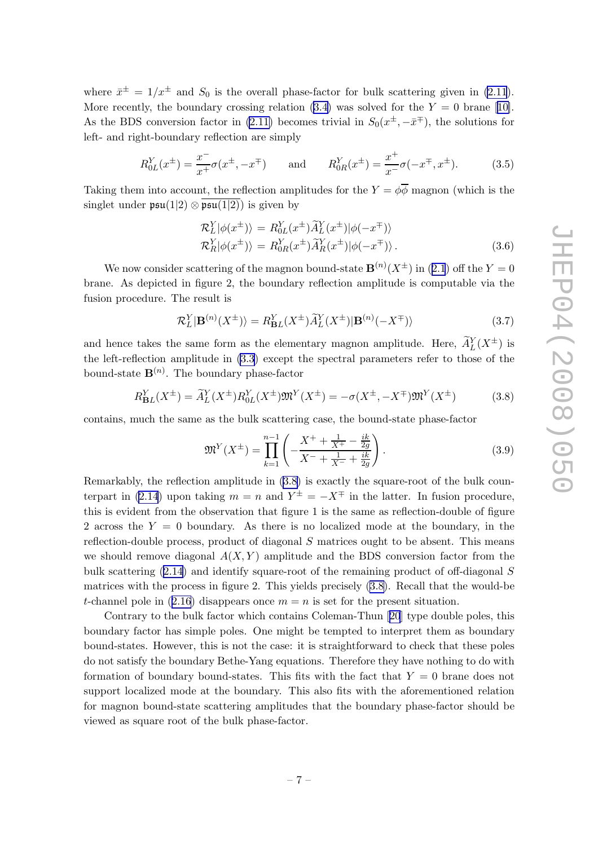<span id="page-7-0"></span>where  $\bar{x}^{\pm} = 1/x^{\pm}$  and  $S_0$  is the overall phase-factor for bulk scattering given in [\(2.11](#page-4-0)). More recently, the boundary crossing relation [\(3.4\)](#page-6-0)was solved for the  $Y = 0$  brane [[10\]](#page-13-0). As the BDS conversion factor in [\(2.11\)](#page-4-0) becomes trivial in  $S_0(x^{\pm}, -\bar{x}^{\mp})$ , the solutions for left- and right-boundary reflection are simply

$$
R_{0L}^Y(x^{\pm}) = \frac{x^-}{x^+} \sigma(x^{\pm}, -x^{\mp}) \quad \text{and} \quad R_{0R}^Y(x^{\pm}) = \frac{x^+}{x^-} \sigma(-x^{\mp}, x^{\pm}). \tag{3.5}
$$

Taking them into account, the reflection amplitudes for the  $Y = \phi \overline{\phi}$  magnon (which is the singlet under  $\mathfrak{psu}(1|2) \otimes \overline{\mathfrak{psu}(1|2)}$  is given by

$$
\mathcal{R}_L^Y |\phi(x^{\pm})\rangle = R_{0L}^Y(x^{\pm}) \widetilde{A}_L^Y(x^{\pm}) |\phi(-x^{\mp})\rangle \n\mathcal{R}_R^Y |\phi(x^{\pm})\rangle = R_{0R}^Y(x^{\pm}) \widetilde{A}_R^Y(x^{\pm}) |\phi(-x^{\mp})\rangle.
$$
\n(3.6)

We now consider scattering of the magnon bound-state  $\mathbf{B}^{(n)}(X^{\pm})$  in ([2.1](#page-2-0)) off the  $Y=0$ brane. As depicted in figure 2, the boundary reflection amplitude is computable via the fusion procedure. The result is

$$
\mathcal{R}_L^Y|\mathbf{B}^{(n)}(X^{\pm})\rangle = R_{\mathbf{B}L}^Y(X^{\pm})\widetilde{A}_L^Y(X^{\pm})|\mathbf{B}^{(n)}(-X^{\mp})\rangle\tag{3.7}
$$

and hence takes the same form as the elementary magnon amplitude. Here,  $\widetilde{A}_{L}^{Y}(X^{\pm})$  is the left-reflection amplitude in [\(3.3](#page-6-0)) except the spectral parameters refer to those of the bound-state  $\mathbf{B}^{(n)}$ . The boundary phase-factor

$$
R_{BL}^{Y}(X^{\pm}) = \tilde{A}_{L}^{Y}(X^{\pm})R_{0L}^{Y}(X^{\pm})\mathfrak{M}^{Y}(X^{\pm}) = -\sigma(X^{\pm}, -X^{\mp})\mathfrak{M}^{Y}(X^{\pm})
$$
(3.8)

contains, much the same as the bulk scattering case, the bound-state phase-factor

$$
\mathfrak{M}^Y(X^{\pm}) = \prod_{k=1}^{n-1} \left( -\frac{X^+ + \frac{1}{X^+} - \frac{ik}{2g}}{X^- + \frac{1}{X^-} + \frac{ik}{2g}} \right). \tag{3.9}
$$

Remarkably, the reflection amplitude in (3.8) is exactly the square-root of the bulk coun-terpart in [\(2.14](#page-4-0)) upon taking  $m = n$  and  $Y^{\pm} = -X^{\mp}$  in the latter. In fusion procedure, this is evident from the observation that figure 1 is the same as reflection-double of figure 2 across the  $Y = 0$  boundary. As there is no localized mode at the boundary, in the reflection-double process, product of diagonal  $S$  matrices ought to be absent. This means we should remove diagonal  $A(X, Y)$  amplitude and the BDS conversion factor from the bulk scattering ([2.14\)](#page-4-0) and identify square-root of the remaining product of off-diagonal S matrices with the process in figure 2. This yields precisely (3.8). Recall that the would-be t-channel pole in ([2.16](#page-5-0)) disappears once  $m = n$  is set for the present situation.

Contrary to the bulk factor which contains Coleman-Thun[[20](#page-13-0)] type double poles, this boundary factor has simple poles. One might be tempted to interpret them as boundary bound-states. However, this is not the case: it is straightforward to check that these poles do not satisfy the boundary Bethe-Yang equations. Therefore they have nothing to do with formation of boundary bound-states. This fits with the fact that  $Y = 0$  brane does not support localized mode at the boundary. This also fits with the aforementioned relation for magnon bound-state scattering amplitudes that the boundary phase-factor should be viewed as square root of the bulk phase-factor.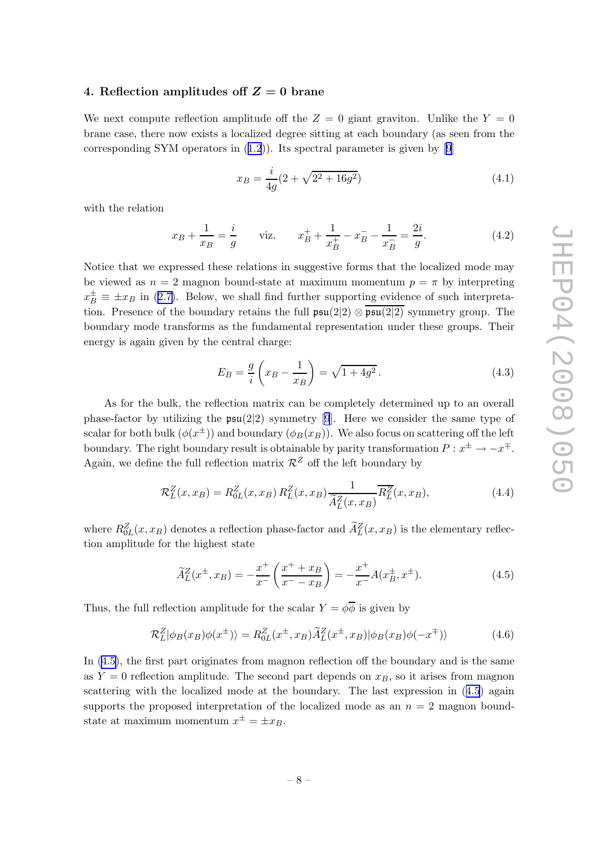#### <span id="page-8-0"></span>4. Reflection amplitudes of  $Z = 0$  brane

We next compute reflection amplitude off the  $Z = 0$  giant graviton. Unlike the  $Y = 0$ brane case, there now exists a localized degree sitting at each boundary (as seen from the correspondingSYM operators in  $(1.2)$  $(1.2)$  $(1.2)$ ). Its spectral parameter is given by [[9](#page-13-0)]

$$
x_B = \frac{i}{4g}(2 + \sqrt{2^2 + 16g^2})\tag{4.1}
$$

with the relation

$$
x_B + \frac{1}{x_B} = \frac{i}{g} \qquad \text{viz.} \qquad x_B^+ + \frac{1}{x_B^+} - x_B^- - \frac{1}{x_B^-} = \frac{2i}{g}.\tag{4.2}
$$

Notice that we expressed these relations in suggestive forms that the localized mode may be viewed as  $n = 2$  magnon bound-state at maximum momentum  $p = \pi$  by interpreting  $x_B^{\pm} \equiv \pm x_B$  in [\(2.7\)](#page-3-0). Below, we shall find further supporting evidence of such interpretation. Presence of the boundary retains the full  $\mathfrak{psu}(2|2) \otimes \mathfrak{psu}(2|2)$  symmetry group. The boundary mode transforms as the fundamental representation under these groups. Their energy is again given by the central charge:

$$
E_B = \frac{g}{i} \left( x_B - \frac{1}{x_B} \right) = \sqrt{1 + 4g^2} \,. \tag{4.3}
$$

As for the bulk, the reflection matrix can be completely determined up to an overall phase-factor by utilizing the  $\mathfrak{psu}(2|2)$  symmetry [\[9](#page-13-0)]. Here we consider the same type of scalar for both bulk  $(\phi(x^{\pm}))$  and boundary  $(\phi_B(x_B))$ . We also focus on scattering off the left boundary. The right boundary result is obtainable by parity transformation  $P: x^{\pm} \to -x^{\mp}$ . Again, we define the full reflection matrix  $\mathcal{R}^Z$  off the left boundary by

$$
\mathcal{R}_L^Z(x,x_B) = R_{0L}^Z(x,x_B) R_L^Z(x,x_B) \frac{1}{\widetilde{A}_L^Z(x,x_B)} \overline{R_L^Z(x,x_B)},\tag{4.4}
$$

where  $R_{0L}^Z(x, x_B)$  denotes a reflection phase-factor and  $A_L^Z(x, x_B)$  is the elementary reflection amplitude for the highest state

$$
\widetilde{A}_L^Z(x^{\pm}, x_B) = -\frac{x^+}{x^-} \left( \frac{x^+ + x_B}{x^- - x_B} \right) = -\frac{x^+}{x^-} A(x_B^{\pm}, x^{\pm}).\tag{4.5}
$$

Thus, the full reflection amplitude for the scalar  $Y = \phi \overline{\phi}$  is given by

$$
\mathcal{R}_L^Z|\phi_B(x_B)\phi(x^{\pm})\rangle = R_{0L}^Z(x^{\pm}, x_B)\widetilde{A}_L^Z(x^{\pm}, x_B)|\phi_B(x_B)\phi(-x^{\mp})\rangle \tag{4.6}
$$

In (4.5), the first part originates from magnon reflection off the boundary and is the same as  $Y = 0$  reflection amplitude. The second part depends on  $x_B$ , so it arises from magnon scattering with the localized mode at the boundary. The last expression in (4.5) again supports the proposed interpretation of the localized mode as an  $n = 2$  magnon boundstate at maximum momentum  $x^{\pm} = \pm x_B$ .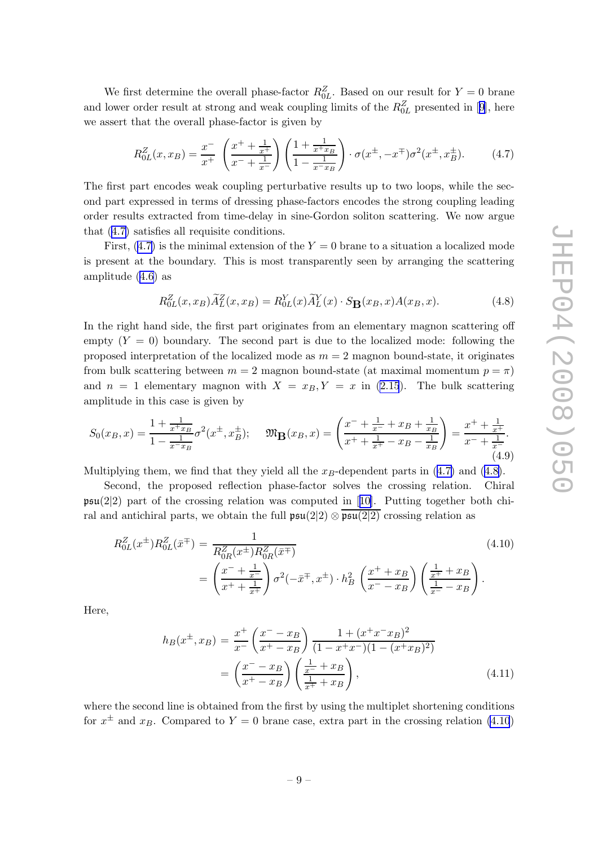<span id="page-9-0"></span>We first determine the overall phase-factor  $R_{0L}^Z$ . Based on our result for  $Y=0$  brane andlower order result at strong and weak coupling limits of the  $R_{0L}^Z$  presented in [[9](#page-13-0)], here we assert that the overall phase-factor is given by

$$
R_{0L}^{Z}(x,x_B) = \frac{x^{-}}{x^{+}} \left(\frac{x^{+} + \frac{1}{x^{+}}}{x^{-} + \frac{1}{x^{-}}}\right) \left(\frac{1 + \frac{1}{x^{+}x_B}}{1 - \frac{1}{x^{-}x_B}}\right) \cdot \sigma(x^{\pm}, -x^{\mp})\sigma^{2}(x^{\pm}, x^{\pm}_B). \tag{4.7}
$$

The first part encodes weak coupling perturbative results up to two loops, while the second part expressed in terms of dressing phase-factors encodes the strong coupling leading order results extracted from time-delay in sine-Gordon soliton scattering. We now argue that (4.7) satisfies all requisite conditions.

First,  $(4.7)$  is the minimal extension of the  $Y = 0$  brane to a situation a localized mode is present at the boundary. This is most transparently seen by arranging the scattering amplitude [\(4.6\)](#page-8-0) as

$$
R_{0L}^Z(x, x_B)\widetilde{A}_L^Z(x, x_B) = R_{0L}^Y(x)\widetilde{A}_L^Y(x) \cdot S_\mathbf{B}(x_B, x)A(x_B, x). \tag{4.8}
$$

In the right hand side, the first part originates from an elementary magnon scattering off empty  $(Y = 0)$  boundary. The second part is due to the localized mode: following the proposed interpretation of the localized mode as  $m = 2$  magnon bound-state, it originates from bulk scattering between  $m = 2$  magnon bound-state (at maximal momentum  $p = \pi$ ) and  $n = 1$  elementary magnon with  $X = x_B, Y = x$  in [\(2.15](#page-5-0)). The bulk scattering amplitude in this case is given by

$$
S_0(x_B, x) = \frac{1 + \frac{1}{x + x_B}}{1 - \frac{1}{x - x_B}} \sigma^2(x^{\pm}, x^{\pm}_B); \quad \mathfrak{M}_B(x_B, x) = \left(\frac{x^- + \frac{1}{x^-} + x_B + \frac{1}{x_B}}{x^+ + \frac{1}{x^+} - x_B - \frac{1}{x_B}}\right) = \frac{x^+ + \frac{1}{x^+}}{x^- + \frac{1}{x^-}}.
$$
\n(4.9)

Multiplying them, we find that they yield all the  $x_B$ -dependent parts in (4.7) and (4.8).

Second, the proposed reflection phase-factor solves the crossing relation. Chiral  $\mathfrak{psu}(2|2)$ part of the crossing relation was computed in [[10\]](#page-13-0). Putting together both chiral and antichiral parts, we obtain the full  $\mathfrak{psu}(2|2) \otimes \mathfrak{psu}(2|2)$  crossing relation as

$$
R_{0L}^{Z}(x^{\pm})R_{0L}^{Z}(\bar{x}^{\mp}) = \frac{1}{R_{0R}^{Z}(x^{\pm})R_{0R}^{Z}(\bar{x}^{\mp})}
$$
\n
$$
= \left(\frac{x^{-} + \frac{1}{x^{\pm}}}{x^{+} + \frac{1}{x^{\pm}}}\right)\sigma^{2}(-\bar{x}^{\mp}, x^{\pm}) \cdot h_{B}^{2}\left(\frac{x^{+} + x_{B}}{x^{-} - x_{B}}\right)\left(\frac{\frac{1}{x^{+}} + x_{B}}{\frac{1}{x^{-}} - x_{B}}\right).
$$
\n(4.10)

Here,

$$
h_B(x^{\pm}, x_B) = \frac{x^+}{x^-} \left(\frac{x^- - x_B}{x^+ - x_B}\right) \frac{1 + (x^+ x^- x_B)^2}{(1 - x^+ x^-)(1 - (x^+ x_B)^2)}
$$

$$
= \left(\frac{x^- - x_B}{x^+ - x_B}\right) \left(\frac{\frac{1}{x^-} + x_B}{\frac{1}{x^+} + x_B}\right),\tag{4.11}
$$

where the second line is obtained from the first by using the multiplet shortening conditions for  $x^{\pm}$  and  $x_B$ . Compared to  $Y=0$  brane case, extra part in the crossing relation (4.10)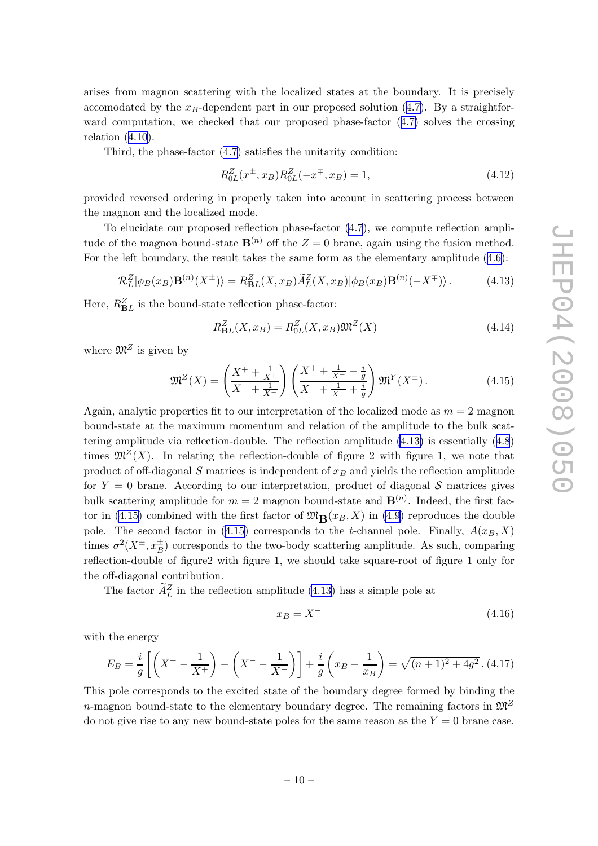<span id="page-10-0"></span>arises from magnon scattering with the localized states at the boundary. It is precisely accomodated by the  $x_B$ -dependent part in our proposed solution [\(4.7](#page-9-0)). By a straightforward computation, we checked that our proposed phase-factor ([4.7\)](#page-9-0) solves the crossing relation  $(4.10)$  $(4.10)$ .

Third, the phase-factor [\(4.7](#page-9-0)) satisfies the unitarity condition:

$$
R_{0L}^Z(x^{\pm}, x_B)R_{0L}^Z(-x^{\mp}, x_B) = 1,
$$
\n(4.12)

provided reversed ordering in properly taken into account in scattering process between the magnon and the localized mode.

To elucidate our proposed reflection phase-factor [\(4.7](#page-9-0)), we compute reflection amplitude of the magnon bound-state  $\mathbf{B}^{(n)}$  off the  $Z = 0$  brane, again using the fusion method. For the left boundary, the result takes the same form as the elementary amplitude ([4.6\)](#page-8-0):

$$
\mathcal{R}_L^Z|\phi_B(x_B)\mathbf{B}^{(n)}(X^{\pm})\rangle = R_{\mathbf{B}L}^Z(X, x_B)\widetilde{A}_L^Z(X, x_B)|\phi_B(x_B)\mathbf{B}^{(n)}(-X^{\mp})\rangle. \tag{4.13}
$$

Here,  $R_{BL}^{Z}$  is the bound-state reflection phase-factor:

$$
R_{\mathbf{B}L}^{Z}(X, x_{B}) = R_{0L}^{Z}(X, x_{B}) \mathfrak{M}^{Z}(X)
$$
\n(4.14)

where  $\mathfrak{M}^Z$  is given by

$$
\mathfrak{M}^Z(X) = \left(\frac{X^+ + \frac{1}{X^+}}{X^- + \frac{1}{X^-}}\right) \left(\frac{X^+ + \frac{1}{X^+} - \frac{i}{g}}{X^- + \frac{1}{X^-} + \frac{i}{g}}\right) \mathfrak{M}^Y(X^{\pm}).\tag{4.15}
$$

Again, analytic properties fit to our interpretation of the localized mode as  $m = 2$  magnon bound-state at the maximum momentum and relation of the amplitude to the bulk scattering amplitude via reflection-double. The reflection amplitude (4.13) is essentially ([4.8](#page-9-0)) times  $\mathfrak{M}^Z(X)$ . In relating the reflection-double of figure 2 with figure 1, we note that product of off-diagonal  $S$  matrices is independent of  $x_B$  and yields the reflection amplitude for  $Y = 0$  brane. According to our interpretation, product of diagonal S matrices gives bulk scattering amplitude for  $m = 2$  magnon bound-state and  $\mathbf{B}^{(n)}$ . Indeed, the first factor in (4.15) combined with the first factor of  $\mathfrak{M}_{\mathbf{R}}(x_B, X)$  in [\(4.9](#page-9-0)) reproduces the double pole. The second factor in (4.15) corresponds to the *t*-channel pole. Finally,  $A(x_B, X)$ times  $\sigma^2(X^{\pm}, x^{\pm}_B)$  corresponds to the two-body scattering amplitude. As such, comparing reflection-double of figure2 with figure 1, we should take square-root of figure 1 only for the off-diagonal contribution.

The factor  $\tilde{A}_L^Z$  in the reflection amplitude (4.13) has a simple pole at

$$
x_B = X^- \tag{4.16}
$$

with the energy

$$
E_B = \frac{i}{g} \left[ \left( X^+ - \frac{1}{X^+} \right) - \left( X^- - \frac{1}{X^-} \right) \right] + \frac{i}{g} \left( x_B - \frac{1}{x_B} \right) = \sqrt{(n+1)^2 + 4g^2} \, . \tag{4.17}
$$

This pole corresponds to the excited state of the boundary degree formed by binding the n-magnon bound-state to the elementary boundary degree. The remaining factors in  $\mathfrak{M}^2$ do not give rise to any new bound-state poles for the same reason as the  $Y = 0$  brane case.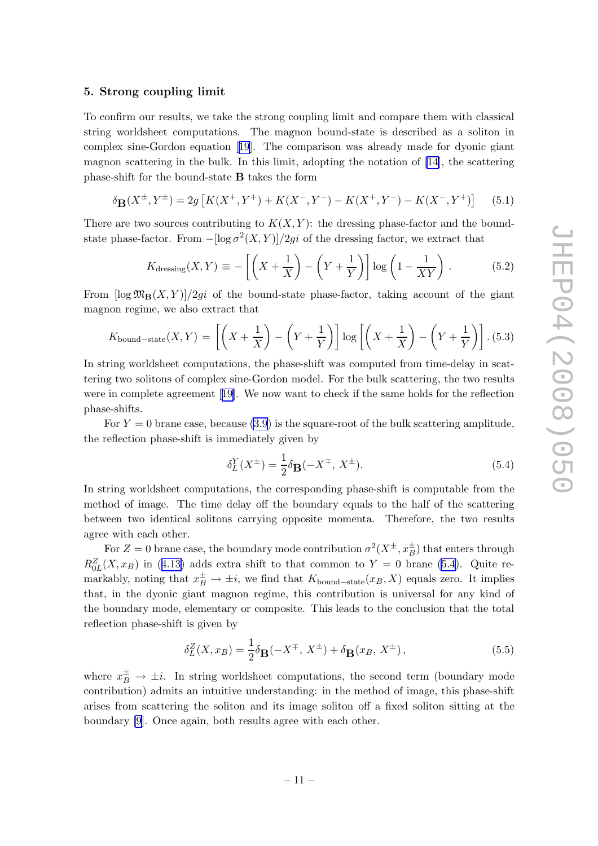#### <span id="page-11-0"></span>5. Strong coupling limit

To confirm our results, we take the strong coupling limit and compare them with classical string worldsheet computations. The magnon bound-state is described as a soliton in complex sine-Gordon equation[[19](#page-13-0)]. The comparison was already made for dyonic giant magnon scattering in the bulk. In this limit, adopting the notation of [\[14](#page-13-0)], the scattering phase-shift for the bound-state B takes the form

$$
\delta_{\mathbf{B}}(X^{\pm}, Y^{\pm}) = 2g \left[ K(X^{+}, Y^{+}) + K(X^{-}, Y^{-}) - K(X^{+}, Y^{-}) - K(X^{-}, Y^{+}) \right] \tag{5.1}
$$

There are two sources contributing to  $K(X, Y)$ : the dressing phase-factor and the boundstate phase-factor. From  $-[\log \sigma^2(X, Y)]/2gi$  of the dressing factor, we extract that

$$
K_{\text{dressing}}(X,Y) \equiv -\left[\left(X + \frac{1}{X}\right) - \left(Y + \frac{1}{Y}\right)\right] \log\left(1 - \frac{1}{XY}\right). \tag{5.2}
$$

From  $\log \mathfrak{M}_{\mathbf{B}}(X, Y)/2qi$  of the bound-state phase-factor, taking account of the giant magnon regime, we also extract that

$$
K_{\text{bound-state}}(X,Y) = \left[ \left( X + \frac{1}{X} \right) - \left( Y + \frac{1}{Y} \right) \right] \log \left[ \left( X + \frac{1}{X} \right) - \left( Y + \frac{1}{Y} \right) \right]. \tag{5.3}
$$

In string worldsheet computations, the phase-shift was computed from time-delay in scattering two solitons of complex sine-Gordon model. For the bulk scattering, the two results were in complete agreement[[19\]](#page-13-0). We now want to check if the same holds for the reflection phase-shifts.

For  $Y = 0$  brane case, because [\(3.9](#page-7-0)) is the square-root of the bulk scattering amplitude, the reflection phase-shift is immediately given by

$$
\delta_L^Y(X^{\pm}) = \frac{1}{2}\delta_{\mathbf{B}}(-X^{\mp}, X^{\pm}).
$$
\n(5.4)

In string worldsheet computations, the corresponding phase-shift is computable from the method of image. The time delay off the boundary equals to the half of the scattering between two identical solitons carrying opposite momenta. Therefore, the two results agree with each other.

For  $Z = 0$  brane case, the boundary mode contribution  $\sigma^2(X^{\pm}, x^{\pm}_B)$  that enters through  $R_{0L}^{Z}(X,x_B)$  in ([4.13\)](#page-10-0) adds extra shift to that common to  $Y=0$  brane (5.4). Quite remarkably, noting that  $x_B^{\pm} \to \pm i$ , we find that  $K_{\text{bound-state}}(x_B, X)$  equals zero. It implies that, in the dyonic giant magnon regime, this contribution is universal for any kind of the boundary mode, elementary or composite. This leads to the conclusion that the total reflection phase-shift is given by

$$
\delta_L^Z(X, x_B) = \frac{1}{2}\delta_{\mathbf{B}}(-X^{\mp}, X^{\pm}) + \delta_{\mathbf{B}}(x_B, X^{\pm}), \qquad (5.5)
$$

where  $x_B^{\pm} \rightarrow \pm i$ . In string worldsheet computations, the second term (boundary mode contribution) admits an intuitive understanding: in the method of image, this phase-shift arises from scattering the soliton and its image soliton off a fixed soliton sitting at the boundary [\[9\]](#page-13-0). Once again, both results agree with each other.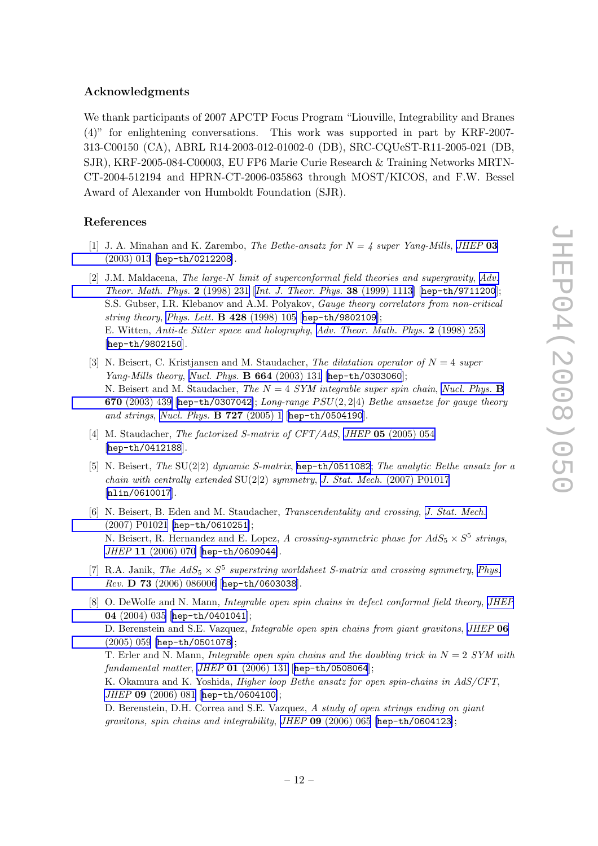## <span id="page-12-0"></span>Acknowledgments

We thank participants of 2007 APCTP Focus Program "Liouville, Integrability and Branes (4)" for enlightening conversations. This work was supported in part by KRF-2007- 313-C00150 (CA), ABRL R14-2003-012-01002-0 (DB), SRC-CQUeST-R11-2005-021 (DB, SJR), KRF-2005-084-C00003, EU FP6 Marie Curie Research & Training Networks MRTN-CT-2004-512194 and HPRN-CT-2006-035863 through MOST/KICOS, and F.W. Bessel Award of Alexander von Humboldt Foundation (SJR).

## References

- [1] J. A. Minahan and K. Zarembo, The Bethe-ansatz for  $N = 4$  super Yang-Mills, [JHEP](http://jhep.sissa.it/stdsearch?paper=03%282003%29013) 03 [\(2003\) 013](http://jhep.sissa.it/stdsearch?paper=03%282003%29013) [[hep-th/0212208](http://arxiv.org/abs/hep-th/0212208)].
- [2] J.M. Maldacena, The large-N limit of superconformal field theories and supergravity, [Adv.](http://www-spires.slac.stanford.edu/spires/find/hep/www?j=00203%2C2%2C231) [Theor. Math. Phys.](http://www-spires.slac.stanford.edu/spires/find/hep/www?j=00203%2C2%2C231) 2 (1998) 231 [[Int. J. Theor. Phys.](http://www-spires.slac.stanford.edu/spires/find/hep/www?j=IJTPB%2C38%2C1113) 38 (1999) 1113] [[hep-th/9711200](http://arxiv.org/abs/hep-th/9711200)]; S.S. Gubser, I.R. Klebanov and A.M. Polyakov, Gauge theory correlators from non-critical string theory, [Phys. Lett.](http://www-spires.slac.stanford.edu/spires/find/hep/www?j=PHLTA%2CB428%2C105) **B** 428 (1998) 105 [[hep-th/9802109](http://arxiv.org/abs/hep-th/9802109)]; E. Witten, Anti-de Sitter space and holography, [Adv. Theor. Math. Phys.](http://www-spires.slac.stanford.edu/spires/find/hep/www?j=00203%2C2%2C253) 2 (1998) 253 [[hep-th/9802150](http://arxiv.org/abs/hep-th/9802150)].
- [3] N. Beisert, C. Kristjansen and M. Staudacher, The dilatation operator of  $N = 4$  super Yang-Mills theory, [Nucl. Phys.](http://www-spires.slac.stanford.edu/spires/find/hep/www?j=NUPHA%2CB664%2C131) B 664 (2003) 131 [[hep-th/0303060](http://arxiv.org/abs/hep-th/0303060)]; N. Beisert and M. Staudacher, The  $N = 4$  SYM integrable super spin chain, [Nucl. Phys.](http://www-spires.slac.stanford.edu/spires/find/hep/www?j=NUPHA%2CB670%2C439) B 670 [\(2003\) 439](http://www-spires.slac.stanford.edu/spires/find/hep/www?j=NUPHA%2CB670%2C439) [[hep-th/0307042](http://arxiv.org/abs/hep-th/0307042)]; Long-range  $PSU(2, 2|4)$  Bethe ansaetze for gauge theory and strings, [Nucl. Phys.](http://www-spires.slac.stanford.edu/spires/find/hep/www?j=NUPHA%2CB727%2C1) B 727 (2005) 1 [[hep-th/0504190](http://arxiv.org/abs/hep-th/0504190)].
- [4] M. Staudacher, *The factorized S-matrix of CFT/AdS*, *JHEP* 05 [\(2005\) 054](http://jhep.sissa.it/stdsearch?paper=05%282005%29054) [[hep-th/0412188](http://arxiv.org/abs/hep-th/0412188)].
- [5] N. Beisert, The SU(2|2) dynamic S-matrix, [hep-th/0511082](http://arxiv.org/abs/hep-th/0511082); The analytic Bethe ansatz for a chain with centrally extended  $SU(2|2)$  symmetry, J. Stat. Mech. [\(2007\) P01017](http://www-spires.slac.stanford.edu/spires/find/hep/www?j=JSTAT%2C0701%2CP017) [[nlin/0610017](http://arxiv.org/abs/nlin/0610017)].
- [6] N. Beisert, B. Eden and M. Staudacher, Transcendentality and crossing, [J. Stat. Mech.](http://www-spires.slac.stanford.edu/spires/find/hep/www?j=JSTAT%2C0701%2CP021) [\(2007\) P01021](http://www-spires.slac.stanford.edu/spires/find/hep/www?j=JSTAT%2C0701%2CP021) [[hep-th/0610251](http://arxiv.org/abs/hep-th/0610251)]; N. Beisert, R. Hernandez and E. Lopez, A crossing-symmetric phase for  $AdS_5 \times S^5$  strings, JHEP 11 [\(2006\) 070](http://jhep.sissa.it/stdsearch?paper=11%282006%29070) [[hep-th/0609044](http://arxiv.org/abs/hep-th/0609044)].
- [7] R.A. Janik, The  $AdS_5 \times S^5$  superstring worldsheet S-matrix and crossing symmetry, [Phys.](http://www-spires.slac.stanford.edu/spires/find/hep/www?j=PHRVA%2CD73%2C086006) Rev. D 73 [\(2006\) 086006](http://www-spires.slac.stanford.edu/spires/find/hep/www?j=PHRVA%2CD73%2C086006) [[hep-th/0603038](http://arxiv.org/abs/hep-th/0603038)].
- [8] O. DeWolfe and N. Mann, *Integrable open spin chains in defect conformal field theory*, *[JHEP](http://jhep.sissa.it/stdsearch?paper=04%282004%29035)* 04 [\(2004\) 035](http://jhep.sissa.it/stdsearch?paper=04%282004%29035) [[hep-th/0401041](http://arxiv.org/abs/hep-th/0401041)]; D. Berenstein and S.E. Vazquez, Integrable open spin chains from giant gravitons, [JHEP](http://jhep.sissa.it/stdsearch?paper=06%282005%29059) 06 [\(2005\) 059](http://jhep.sissa.it/stdsearch?paper=06%282005%29059) [[hep-th/0501078](http://arxiv.org/abs/hep-th/0501078)]; T. Erler and N. Mann, *Integrable open spin chains and the doubling trick in*  $N = 2$  *SYM with* fundamental matter, JHEP 01 [\(2006\) 131](http://jhep.sissa.it/stdsearch?paper=01%282006%29131) [[hep-th/0508064](http://arxiv.org/abs/hep-th/0508064)]; K. Okamura and K. Yoshida, Higher loop Bethe ansatz for open spin-chains in AdS/CFT, JHEP 09 [\(2006\) 081](http://jhep.sissa.it/stdsearch?paper=09%282006%29081) [[hep-th/0604100](http://arxiv.org/abs/hep-th/0604100)];

D. Berenstein, D.H. Correa and S.E. Vazquez, A study of open strings ending on giant gravitons, spin chains and integrability, JHEP 09 [\(2006\) 065](http://jhep.sissa.it/stdsearch?paper=09%282006%29065) [[hep-th/0604123](http://arxiv.org/abs/hep-th/0604123)];